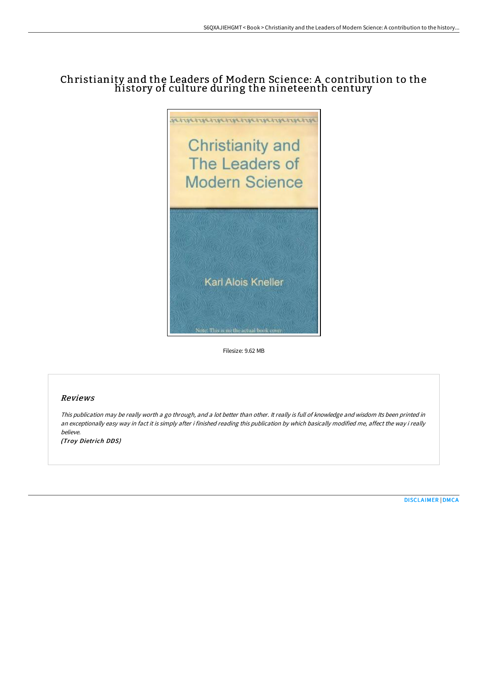# Christianity and the Leaders of Modern Science: A contribution to the history of culture during the nineteenth century



Filesize: 9.62 MB

# Reviews

This publication may be really worth <sup>a</sup> go through, and <sup>a</sup> lot better than other. It really is full of knowledge and wisdom Its been printed in an exceptionally easy way in fact it is simply after i finished reading this publication by which basically modified me, affect the way i really believe.

(Troy Dietrich DDS)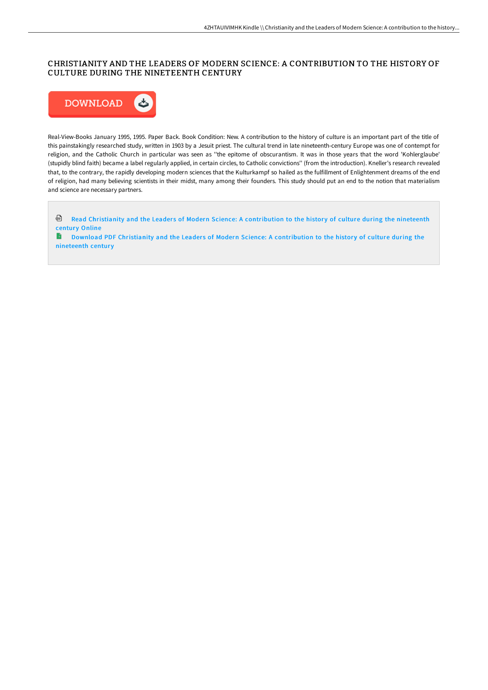# CHRISTIANITY AND THE LEADERS OF MODERN SCIENCE: A CONTRIBUTION TO THE HISTORY OF CULTURE DURING THE NINETEENTH CENTURY



Real-View-Books January 1995, 1995. Paper Back. Book Condition: New. A contribution to the history of culture is an important part of the title of this painstakingly researched study, written in 1903 by a Jesuit priest. The cultural trend in late nineteenth-century Europe was one of contempt for religion, and the Catholic Church in particular was seen as ''the epitome of obscurantism. It was in those years that the word 'Kohlerglaube' (stupidly blind faith) became a label regularly applied, in certain circles, to Catholic convictions'' (from the introduction). Kneller's research revealed that, to the contrary, the rapidly developing modern sciences that the Kulturkampf so hailed as the fulfillment of Enlightenment dreams of the end of religion, had many believing scientists in their midst, many among their founders. This study should put an end to the notion that materialism and science are necessary partners.

ଈ Read Christianity and the Leaders of Modern Science: A [contribution](http://techno-pub.tech/christianity-and-the-leaders-of-modern-science-a.html) to the history of culture during the nineteenth century Online

**Download PDF Christianity and the Leaders of Modern Science: A [contribution](http://techno-pub.tech/christianity-and-the-leaders-of-modern-science-a.html) to the history of culture during the** nineteenth century